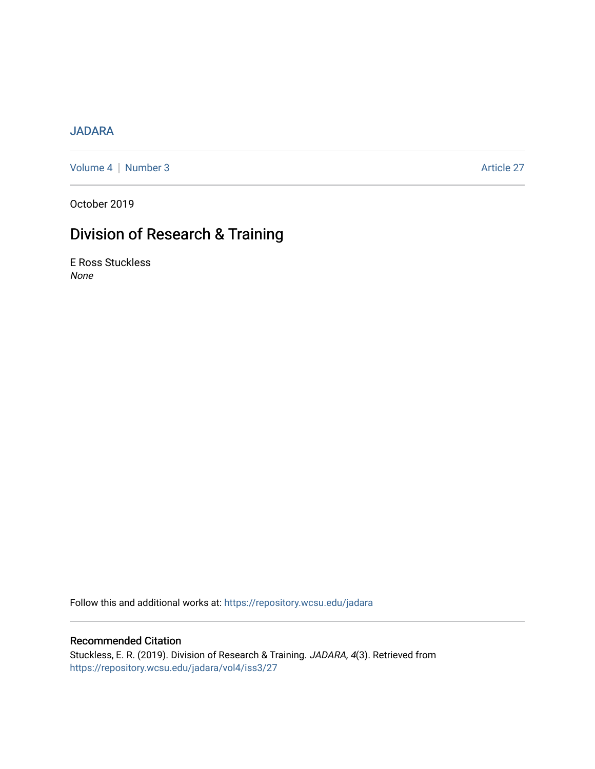## [JADARA](https://repository.wcsu.edu/jadara)

[Volume 4](https://repository.wcsu.edu/jadara/vol4) | [Number 3](https://repository.wcsu.edu/jadara/vol4/iss3) Article 27

October 2019

# Division of Research & Training

E Ross Stuckless None

Follow this and additional works at: [https://repository.wcsu.edu/jadara](https://repository.wcsu.edu/jadara?utm_source=repository.wcsu.edu%2Fjadara%2Fvol4%2Fiss3%2F27&utm_medium=PDF&utm_campaign=PDFCoverPages)

### Recommended Citation

Stuckless, E. R. (2019). Division of Research & Training. JADARA, 4(3). Retrieved from [https://repository.wcsu.edu/jadara/vol4/iss3/27](https://repository.wcsu.edu/jadara/vol4/iss3/27?utm_source=repository.wcsu.edu%2Fjadara%2Fvol4%2Fiss3%2F27&utm_medium=PDF&utm_campaign=PDFCoverPages)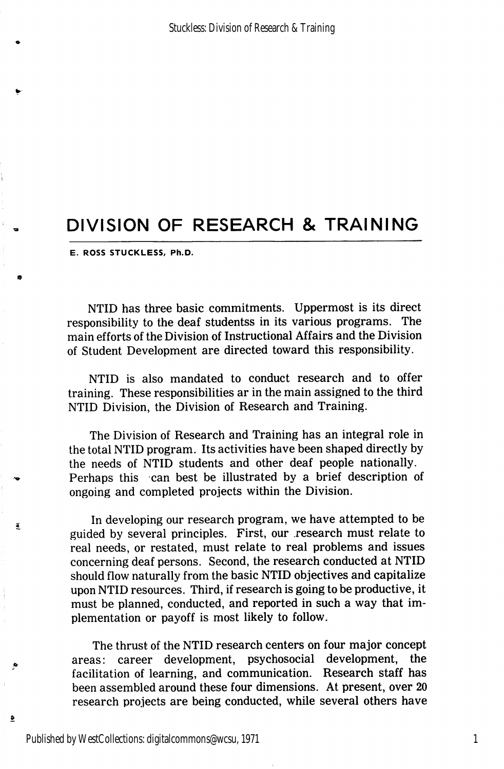# DIVISION OF RESEARCH & TRAINING

E. ROSS STUCKLESS, Ph.D.

NTID has three basic commitments. Uppermost is its direct responsibility to the deaf studentss in its various programs. The main efforts of the Division of Instructional Affairs and the Division of Student Development are directed toward this responsibility.

NTID is also mandated to conduct research and to offer training. These responsibilities ar in the main assigned to the third NTID Division, the Division of Research and Training.

The Division of Research and Training has an integral role in the total NTID program. Its activities have been shaped directly by the needs of NTID students and other deaf people nationally. Perhaps this can best be illustrated by a brief description of ongoing and completed projects within the Division.

In developing our research program, we have attempted to be guided by several principles. First, our research must relate to real needs, or restated, must relate to real problems and issues concerning deaf persons. Second, the research conducted at NTID should flow naturally from the basic NTID objectives and capitalize upon NTID resources. Third, if research is going to be productive, it must be planned, conducted, and reported in such a way that im plementation or payoff is most likely to follow.

The thrust of the NTID research centers on four major concept areas: career development, psychosocial development, the facilitation of learning, and communication. Research staff has been assembled around these four dimensions. At present, over 20 research projects are being conducted, while several others have

Í.

 $\pmb{\underline{\mathfrak{p}}}$ 

1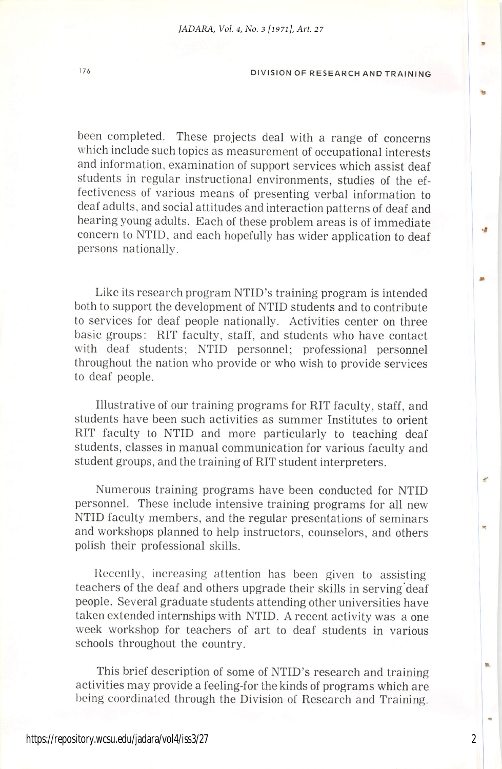### <sup>176</sup> DIVISION OF RESEARCH AND TRAINING

been completed. These projects deal with a range of concerns which include such topics as measurement of occupational interests and information, examination of support services which assist deaf students in regular instructional environments, studies of the ef fectiveness of various means of presenting verbal information to deaf adults, and social attitudes and interaction patterns of deaf and hearing young adults. Each of these problem areas is of immediate concern to NTID, and each hopefully has wider application to deaf persons nationally.

Like its research program NTID's training program is intended both to support the development of NTID students and to contribute to services for deaf people nationally. Activities center on three basic groups: RIT faculty, staff, and students who have contact with deaf students; NTID personnel; professional personnel throughout the nation who provide or who wish to provide services to deaf people.

Illustrative of our training programs for RIT faculty, staff, and students have been such activities as summer Institutes to orient RIT faculty to NTID and more particularly to teaching deaf students, classes in manual communication for various faculty and student groups, and the training of RIT student interpreters.

Numerous training programs have been conducted for NTID personnel. These include intensive training programs for all new NTID faculty members, and the regular presentations of seminars and workshops planned to help instructors, counselors, and others polish their professional skills.

Recently, increasing attention has been given to assisting teachers of the deaf and others upgrade their skills in serving deaf people. Several graduate students attending other universities have taken extended internships with NTID. A recent activity was a one week workshop for teachers of art to deaf students in various schools throughout the country.

This brief description of some of NTID's research and training activities may provide a feeling-for the kinds of programs which are being coordinated through the Division of Research and Training.

2

**LA**